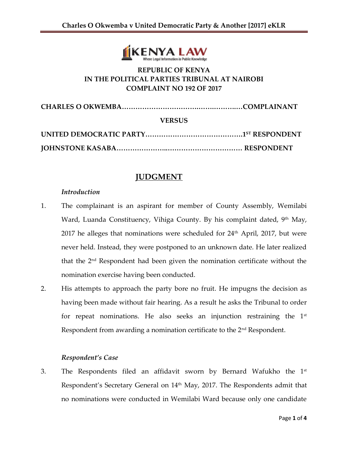

## **REPUBLIC OF KENYA IN THE POLITICAL PARTIES TRIBUNAL AT NAIROBI COMPLAINT NO 192 OF 2017**

**CHARLES O OKWEMBA…………………………….…….……….…COMPLAINANT**

#### **VERSUS**

## **JUDGMENT**

#### *Introduction*

- 1. The complainant is an aspirant for member of County Assembly, Wemilabi Ward, Luanda Constituency, Vihiga County. By his complaint dated, 9<sup>th</sup> May, 2017 he alleges that nominations were scheduled for  $24<sup>th</sup>$  April, 2017, but were never held. Instead, they were postponed to an unknown date. He later realized that the 2nd Respondent had been given the nomination certificate without the nomination exercise having been conducted.
- 2. His attempts to approach the party bore no fruit. He impugns the decision as having been made without fair hearing. As a result he asks the Tribunal to order for repeat nominations. He also seeks an injunction restraining the  $1<sup>st</sup>$ Respondent from awarding a nomination certificate to the  $2<sup>nd</sup>$  Respondent.

#### *Respondent's Case*

3. The Respondents filed an affidavit sworn by Bernard Wafukho the  $1<sup>st</sup>$ Respondent's Secretary General on 14<sup>th</sup> May, 2017. The Respondents admit that no nominations were conducted in Wemilabi Ward because only one candidate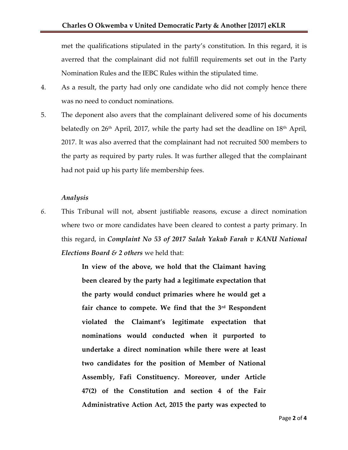met the qualifications stipulated in the party's constitution. In this regard, it is averred that the complainant did not fulfill requirements set out in the Party Nomination Rules and the IEBC Rules within the stipulated time.

- 4. As a result, the party had only one candidate who did not comply hence there was no need to conduct nominations.
- 5. The deponent also avers that the complainant delivered some of his documents belatedly on  $26<sup>th</sup>$  April, 2017, while the party had set the deadline on  $18<sup>th</sup>$  April, 2017. It was also averred that the complainant had not recruited 500 members to the party as required by party rules. It was further alleged that the complainant had not paid up his party life membership fees.

#### *Analysis*

*6.* This Tribunal will not, absent justifiable reasons, excuse a direct nomination where two or more candidates have been cleared to contest a party primary. In this regard, in *Complaint No 53 of 2017 Salah Yakub Farah v KANU National Elections Board & 2 others* we held that:

> **In view of the above, we hold that the Claimant having been cleared by the party had a legitimate expectation that the party would conduct primaries where he would get a fair chance to compete. We find that the 3rd Respondent violated the Claimant's legitimate expectation that nominations would conducted when it purported to undertake a direct nomination while there were at least two candidates for the position of Member of National Assembly, Fafi Constituency. Moreover, under Article 47(2) of the Constitution and section 4 of the Fair Administrative Action Act, 2015 the party was expected to**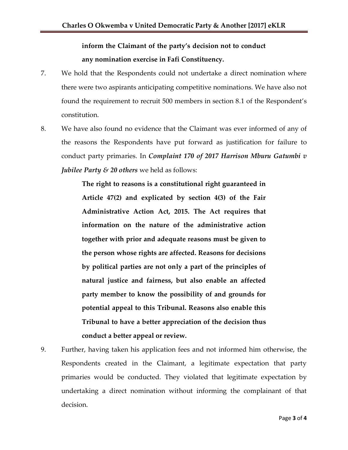# **inform the Claimant of the party's decision not to conduct any nomination exercise in Fafi Constituency.**

- 7. We hold that the Respondents could not undertake a direct nomination where there were two aspirants anticipating competitive nominations. We have also not found the requirement to recruit 500 members in section 8.1 of the Respondent's constitution.
- 8. We have also found no evidence that the Claimant was ever informed of any of the reasons the Respondents have put forward as justification for failure to conduct party primaries. In *Complaint 170 of 2017 Harrison Mburu Gatumbi v Jubilee Party & 20 others* we held as follows:

**The right to reasons is a constitutional right guaranteed in Article 47(2) and explicated by section 4(3) of the Fair Administrative Action Act, 2015. The Act requires that information on the nature of the administrative action together with prior and adequate reasons must be given to the person whose rights are affected. Reasons for decisions by political parties are not only a part of the principles of natural justice and fairness, but also enable an affected party member to know the possibility of and grounds for potential appeal to this Tribunal. Reasons also enable this Tribunal to have a better appreciation of the decision thus conduct a better appeal or review.** 

9. Further, having taken his application fees and not informed him otherwise, the Respondents created in the Claimant, a legitimate expectation that party primaries would be conducted. They violated that legitimate expectation by undertaking a direct nomination without informing the complainant of that decision.